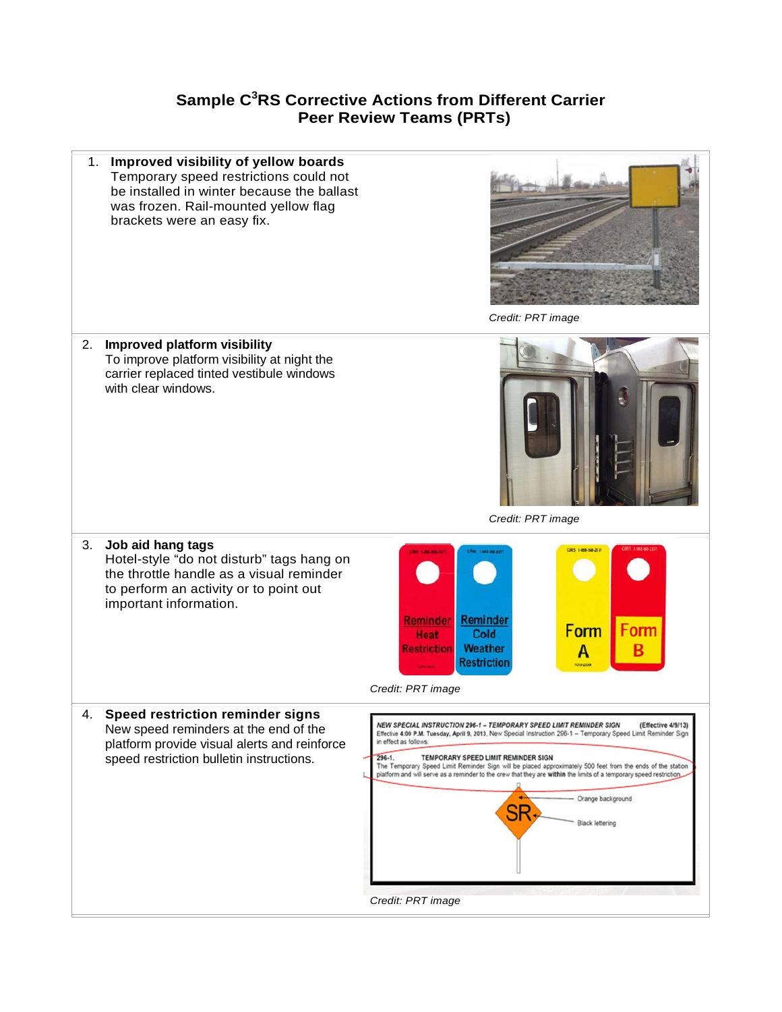## **Sample C<sup>3</sup> RS Corrective Actions from Different Carrier Peer Review Teams (PRTs)**

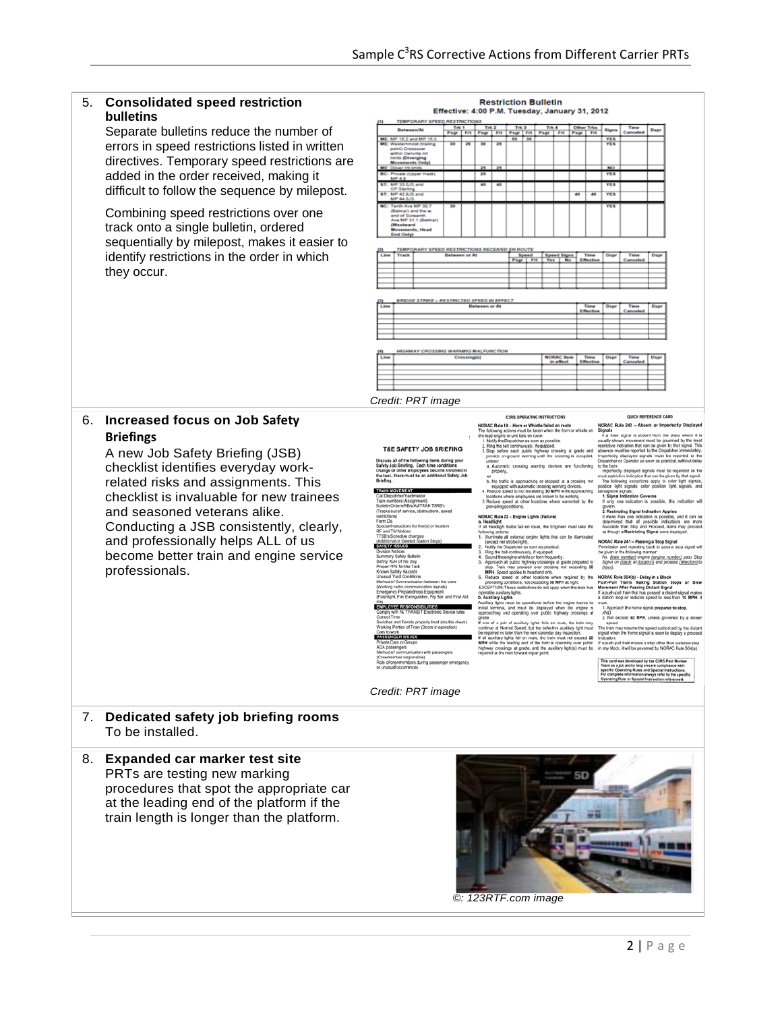| <b>Consolidated speed restriction</b><br>bulletins                                                                                                                                                                                                           | <b>Restriction Bulletin</b><br>Effective: 4:00 P.M. Tuesday, January 31, 2012                                                                                                                                                                                                                                                                                                                                                                                                     |               |                                                                                                                                                                                                                                                                                                                                                                                                                                                                                                                                                                                                                                                                                                                |                                                                                                                                                                                                                                                                                                                                                                                                                      |                                                                                                                                                                                                                                                                                                                                                        |                                                                         |                                                                                                                                                                                                             |                                                                                             |                                                                                                                                                                                                                                                                                                                                                                                       |                                                                                                                           |                                                                                                                                                                                                                                                                                                                                                                                                                                                                                                                                                                                                                                                                                                                                                                                                                                                                                                                                                                                                                                                                                                                                                                                                                                                                                                                                                                                                                                                                                                                                                                                                                                                                                                                                                                               |                                                                                  |                                                                                                                                                                                                                                                                                                                                                                                                                                                                                                                                                                                                                                                                                                                                                                                                                                                                                                                                                                                                                                                                                                                                                                                                                                                                                                                                                                                                                                                                                                                                                                                                                                                                                                                                                                                                                                                                                                                                                                                                                                                                                                                                                                                                             |
|--------------------------------------------------------------------------------------------------------------------------------------------------------------------------------------------------------------------------------------------------------------|-----------------------------------------------------------------------------------------------------------------------------------------------------------------------------------------------------------------------------------------------------------------------------------------------------------------------------------------------------------------------------------------------------------------------------------------------------------------------------------|---------------|----------------------------------------------------------------------------------------------------------------------------------------------------------------------------------------------------------------------------------------------------------------------------------------------------------------------------------------------------------------------------------------------------------------------------------------------------------------------------------------------------------------------------------------------------------------------------------------------------------------------------------------------------------------------------------------------------------------|----------------------------------------------------------------------------------------------------------------------------------------------------------------------------------------------------------------------------------------------------------------------------------------------------------------------------------------------------------------------------------------------------------------------|--------------------------------------------------------------------------------------------------------------------------------------------------------------------------------------------------------------------------------------------------------------------------------------------------------------------------------------------------------|-------------------------------------------------------------------------|-------------------------------------------------------------------------------------------------------------------------------------------------------------------------------------------------------------|---------------------------------------------------------------------------------------------|---------------------------------------------------------------------------------------------------------------------------------------------------------------------------------------------------------------------------------------------------------------------------------------------------------------------------------------------------------------------------------------|---------------------------------------------------------------------------------------------------------------------------|-------------------------------------------------------------------------------------------------------------------------------------------------------------------------------------------------------------------------------------------------------------------------------------------------------------------------------------------------------------------------------------------------------------------------------------------------------------------------------------------------------------------------------------------------------------------------------------------------------------------------------------------------------------------------------------------------------------------------------------------------------------------------------------------------------------------------------------------------------------------------------------------------------------------------------------------------------------------------------------------------------------------------------------------------------------------------------------------------------------------------------------------------------------------------------------------------------------------------------------------------------------------------------------------------------------------------------------------------------------------------------------------------------------------------------------------------------------------------------------------------------------------------------------------------------------------------------------------------------------------------------------------------------------------------------------------------------------------------------------------------------------------------------|----------------------------------------------------------------------------------|-------------------------------------------------------------------------------------------------------------------------------------------------------------------------------------------------------------------------------------------------------------------------------------------------------------------------------------------------------------------------------------------------------------------------------------------------------------------------------------------------------------------------------------------------------------------------------------------------------------------------------------------------------------------------------------------------------------------------------------------------------------------------------------------------------------------------------------------------------------------------------------------------------------------------------------------------------------------------------------------------------------------------------------------------------------------------------------------------------------------------------------------------------------------------------------------------------------------------------------------------------------------------------------------------------------------------------------------------------------------------------------------------------------------------------------------------------------------------------------------------------------------------------------------------------------------------------------------------------------------------------------------------------------------------------------------------------------------------------------------------------------------------------------------------------------------------------------------------------------------------------------------------------------------------------------------------------------------------------------------------------------------------------------------------------------------------------------------------------------------------------------------------------------------------------------------------------------|
|                                                                                                                                                                                                                                                              |                                                                                                                                                                                                                                                                                                                                                                                                                                                                                   |               |                                                                                                                                                                                                                                                                                                                                                                                                                                                                                                                                                                                                                                                                                                                |                                                                                                                                                                                                                                                                                                                                                                                                                      |                                                                                                                                                                                                                                                                                                                                                        |                                                                         |                                                                                                                                                                                                             |                                                                                             |                                                                                                                                                                                                                                                                                                                                                                                       |                                                                                                                           | Signs                                                                                                                                                                                                                                                                                                                                                                                                                                                                                                                                                                                                                                                                                                                                                                                                                                                                                                                                                                                                                                                                                                                                                                                                                                                                                                                                                                                                                                                                                                                                                                                                                                                                                                                                                                         | Cancel                                                                           | Dsp                                                                                                                                                                                                                                                                                                                                                                                                                                                                                                                                                                                                                                                                                                                                                                                                                                                                                                                                                                                                                                                                                                                                                                                                                                                                                                                                                                                                                                                                                                                                                                                                                                                                                                                                                                                                                                                                                                                                                                                                                                                                                                                                                                                                         |
|                                                                                                                                                                                                                                                              | West                                                                                                                                                                                                                                                                                                                                                                                                                                                                              |               |                                                                                                                                                                                                                                                                                                                                                                                                                                                                                                                                                                                                                                                                                                                |                                                                                                                                                                                                                                                                                                                                                                                                                      | 35                                                                                                                                                                                                                                                                                                                                                     | \$5                                                                     |                                                                                                                                                                                                             |                                                                                             |                                                                                                                                                                                                                                                                                                                                                                                       |                                                                                                                           | <b>YES</b><br>YES                                                                                                                                                                                                                                                                                                                                                                                                                                                                                                                                                                                                                                                                                                                                                                                                                                                                                                                                                                                                                                                                                                                                                                                                                                                                                                                                                                                                                                                                                                                                                                                                                                                                                                                                                             |                                                                                  |                                                                                                                                                                                                                                                                                                                                                                                                                                                                                                                                                                                                                                                                                                                                                                                                                                                                                                                                                                                                                                                                                                                                                                                                                                                                                                                                                                                                                                                                                                                                                                                                                                                                                                                                                                                                                                                                                                                                                                                                                                                                                                                                                                                                             |
|                                                                                                                                                                                                                                                              |                                                                                                                                                                                                                                                                                                                                                                                                                                                                                   |               |                                                                                                                                                                                                                                                                                                                                                                                                                                                                                                                                                                                                                                                                                                                |                                                                                                                                                                                                                                                                                                                                                                                                                      |                                                                                                                                                                                                                                                                                                                                                        |                                                                         |                                                                                                                                                                                                             |                                                                                             |                                                                                                                                                                                                                                                                                                                                                                                       |                                                                                                                           |                                                                                                                                                                                                                                                                                                                                                                                                                                                                                                                                                                                                                                                                                                                                                                                                                                                                                                                                                                                                                                                                                                                                                                                                                                                                                                                                                                                                                                                                                                                                                                                                                                                                                                                                                                               |                                                                                  |                                                                                                                                                                                                                                                                                                                                                                                                                                                                                                                                                                                                                                                                                                                                                                                                                                                                                                                                                                                                                                                                                                                                                                                                                                                                                                                                                                                                                                                                                                                                                                                                                                                                                                                                                                                                                                                                                                                                                                                                                                                                                                                                                                                                             |
|                                                                                                                                                                                                                                                              |                                                                                                                                                                                                                                                                                                                                                                                                                                                                                   |               |                                                                                                                                                                                                                                                                                                                                                                                                                                                                                                                                                                                                                                                                                                                |                                                                                                                                                                                                                                                                                                                                                                                                                      |                                                                                                                                                                                                                                                                                                                                                        |                                                                         |                                                                                                                                                                                                             |                                                                                             |                                                                                                                                                                                                                                                                                                                                                                                       |                                                                                                                           |                                                                                                                                                                                                                                                                                                                                                                                                                                                                                                                                                                                                                                                                                                                                                                                                                                                                                                                                                                                                                                                                                                                                                                                                                                                                                                                                                                                                                                                                                                                                                                                                                                                                                                                                                                               |                                                                                  |                                                                                                                                                                                                                                                                                                                                                                                                                                                                                                                                                                                                                                                                                                                                                                                                                                                                                                                                                                                                                                                                                                                                                                                                                                                                                                                                                                                                                                                                                                                                                                                                                                                                                                                                                                                                                                                                                                                                                                                                                                                                                                                                                                                                             |
|                                                                                                                                                                                                                                                              | <b>MP 33.0.15 a</b>                                                                                                                                                                                                                                                                                                                                                                                                                                                               |               |                                                                                                                                                                                                                                                                                                                                                                                                                                                                                                                                                                                                                                                                                                                |                                                                                                                                                                                                                                                                                                                                                                                                                      |                                                                                                                                                                                                                                                                                                                                                        |                                                                         |                                                                                                                                                                                                             |                                                                                             |                                                                                                                                                                                                                                                                                                                                                                                       |                                                                                                                           | res                                                                                                                                                                                                                                                                                                                                                                                                                                                                                                                                                                                                                                                                                                                                                                                                                                                                                                                                                                                                                                                                                                                                                                                                                                                                                                                                                                                                                                                                                                                                                                                                                                                                                                                                                                           |                                                                                  |                                                                                                                                                                                                                                                                                                                                                                                                                                                                                                                                                                                                                                                                                                                                                                                                                                                                                                                                                                                                                                                                                                                                                                                                                                                                                                                                                                                                                                                                                                                                                                                                                                                                                                                                                                                                                                                                                                                                                                                                                                                                                                                                                                                                             |
|                                                                                                                                                                                                                                                              | MP 44.0J3                                                                                                                                                                                                                                                                                                                                                                                                                                                                         |               |                                                                                                                                                                                                                                                                                                                                                                                                                                                                                                                                                                                                                                                                                                                |                                                                                                                                                                                                                                                                                                                                                                                                                      |                                                                                                                                                                                                                                                                                                                                                        |                                                                         |                                                                                                                                                                                                             |                                                                                             |                                                                                                                                                                                                                                                                                                                                                                                       | 40                                                                                                                        | <b>YES</b>                                                                                                                                                                                                                                                                                                                                                                                                                                                                                                                                                                                                                                                                                                                                                                                                                                                                                                                                                                                                                                                                                                                                                                                                                                                                                                                                                                                                                                                                                                                                                                                                                                                                                                                                                                    |                                                                                  |                                                                                                                                                                                                                                                                                                                                                                                                                                                                                                                                                                                                                                                                                                                                                                                                                                                                                                                                                                                                                                                                                                                                                                                                                                                                                                                                                                                                                                                                                                                                                                                                                                                                                                                                                                                                                                                                                                                                                                                                                                                                                                                                                                                                             |
|                                                                                                                                                                                                                                                              |                                                                                                                                                                                                                                                                                                                                                                                                                                                                                   |               |                                                                                                                                                                                                                                                                                                                                                                                                                                                                                                                                                                                                                                                                                                                |                                                                                                                                                                                                                                                                                                                                                                                                                      |                                                                                                                                                                                                                                                                                                                                                        |                                                                         |                                                                                                                                                                                                             |                                                                                             |                                                                                                                                                                                                                                                                                                                                                                                       |                                                                                                                           |                                                                                                                                                                                                                                                                                                                                                                                                                                                                                                                                                                                                                                                                                                                                                                                                                                                                                                                                                                                                                                                                                                                                                                                                                                                                                                                                                                                                                                                                                                                                                                                                                                                                                                                                                                               |                                                                                  |                                                                                                                                                                                                                                                                                                                                                                                                                                                                                                                                                                                                                                                                                                                                                                                                                                                                                                                                                                                                                                                                                                                                                                                                                                                                                                                                                                                                                                                                                                                                                                                                                                                                                                                                                                                                                                                                                                                                                                                                                                                                                                                                                                                                             |
| track onto a single bulletin, ordered<br>sequentially by milepost, makes it easier to                                                                                                                                                                        | (Westward)                                                                                                                                                                                                                                                                                                                                                                                                                                                                        |               |                                                                                                                                                                                                                                                                                                                                                                                                                                                                                                                                                                                                                                                                                                                |                                                                                                                                                                                                                                                                                                                                                                                                                      |                                                                                                                                                                                                                                                                                                                                                        |                                                                         |                                                                                                                                                                                                             |                                                                                             |                                                                                                                                                                                                                                                                                                                                                                                       |                                                                                                                           |                                                                                                                                                                                                                                                                                                                                                                                                                                                                                                                                                                                                                                                                                                                                                                                                                                                                                                                                                                                                                                                                                                                                                                                                                                                                                                                                                                                                                                                                                                                                                                                                                                                                                                                                                                               |                                                                                  |                                                                                                                                                                                                                                                                                                                                                                                                                                                                                                                                                                                                                                                                                                                                                                                                                                                                                                                                                                                                                                                                                                                                                                                                                                                                                                                                                                                                                                                                                                                                                                                                                                                                                                                                                                                                                                                                                                                                                                                                                                                                                                                                                                                                             |
|                                                                                                                                                                                                                                                              | <b>End Only)</b>                                                                                                                                                                                                                                                                                                                                                                                                                                                                  |               |                                                                                                                                                                                                                                                                                                                                                                                                                                                                                                                                                                                                                                                                                                                |                                                                                                                                                                                                                                                                                                                                                                                                                      |                                                                                                                                                                                                                                                                                                                                                        |                                                                         |                                                                                                                                                                                                             |                                                                                             |                                                                                                                                                                                                                                                                                                                                                                                       |                                                                                                                           |                                                                                                                                                                                                                                                                                                                                                                                                                                                                                                                                                                                                                                                                                                                                                                                                                                                                                                                                                                                                                                                                                                                                                                                                                                                                                                                                                                                                                                                                                                                                                                                                                                                                                                                                                                               |                                                                                  |                                                                                                                                                                                                                                                                                                                                                                                                                                                                                                                                                                                                                                                                                                                                                                                                                                                                                                                                                                                                                                                                                                                                                                                                                                                                                                                                                                                                                                                                                                                                                                                                                                                                                                                                                                                                                                                                                                                                                                                                                                                                                                                                                                                                             |
|                                                                                                                                                                                                                                                              |                                                                                                                                                                                                                                                                                                                                                                                                                                                                                   |               |                                                                                                                                                                                                                                                                                                                                                                                                                                                                                                                                                                                                                                                                                                                |                                                                                                                                                                                                                                                                                                                                                                                                                      |                                                                                                                                                                                                                                                                                                                                                        |                                                                         |                                                                                                                                                                                                             |                                                                                             |                                                                                                                                                                                                                                                                                                                                                                                       |                                                                                                                           |                                                                                                                                                                                                                                                                                                                                                                                                                                                                                                                                                                                                                                                                                                                                                                                                                                                                                                                                                                                                                                                                                                                                                                                                                                                                                                                                                                                                                                                                                                                                                                                                                                                                                                                                                                               |                                                                                  | Disp                                                                                                                                                                                                                                                                                                                                                                                                                                                                                                                                                                                                                                                                                                                                                                                                                                                                                                                                                                                                                                                                                                                                                                                                                                                                                                                                                                                                                                                                                                                                                                                                                                                                                                                                                                                                                                                                                                                                                                                                                                                                                                                                                                                                        |
|                                                                                                                                                                                                                                                              |                                                                                                                                                                                                                                                                                                                                                                                                                                                                                   |               |                                                                                                                                                                                                                                                                                                                                                                                                                                                                                                                                                                                                                                                                                                                |                                                                                                                                                                                                                                                                                                                                                                                                                      |                                                                                                                                                                                                                                                                                                                                                        | w                                                                       |                                                                                                                                                                                                             |                                                                                             |                                                                                                                                                                                                                                                                                                                                                                                       |                                                                                                                           |                                                                                                                                                                                                                                                                                                                                                                                                                                                                                                                                                                                                                                                                                                                                                                                                                                                                                                                                                                                                                                                                                                                                                                                                                                                                                                                                                                                                                                                                                                                                                                                                                                                                                                                                                                               |                                                                                  |                                                                                                                                                                                                                                                                                                                                                                                                                                                                                                                                                                                                                                                                                                                                                                                                                                                                                                                                                                                                                                                                                                                                                                                                                                                                                                                                                                                                                                                                                                                                                                                                                                                                                                                                                                                                                                                                                                                                                                                                                                                                                                                                                                                                             |
|                                                                                                                                                                                                                                                              |                                                                                                                                                                                                                                                                                                                                                                                                                                                                                   |               |                                                                                                                                                                                                                                                                                                                                                                                                                                                                                                                                                                                                                                                                                                                |                                                                                                                                                                                                                                                                                                                                                                                                                      |                                                                                                                                                                                                                                                                                                                                                        |                                                                         |                                                                                                                                                                                                             |                                                                                             |                                                                                                                                                                                                                                                                                                                                                                                       |                                                                                                                           |                                                                                                                                                                                                                                                                                                                                                                                                                                                                                                                                                                                                                                                                                                                                                                                                                                                                                                                                                                                                                                                                                                                                                                                                                                                                                                                                                                                                                                                                                                                                                                                                                                                                                                                                                                               |                                                                                  |                                                                                                                                                                                                                                                                                                                                                                                                                                                                                                                                                                                                                                                                                                                                                                                                                                                                                                                                                                                                                                                                                                                                                                                                                                                                                                                                                                                                                                                                                                                                                                                                                                                                                                                                                                                                                                                                                                                                                                                                                                                                                                                                                                                                             |
|                                                                                                                                                                                                                                                              |                                                                                                                                                                                                                                                                                                                                                                                                                                                                                   |               |                                                                                                                                                                                                                                                                                                                                                                                                                                                                                                                                                                                                                                                                                                                |                                                                                                                                                                                                                                                                                                                                                                                                                      |                                                                                                                                                                                                                                                                                                                                                        |                                                                         |                                                                                                                                                                                                             |                                                                                             |                                                                                                                                                                                                                                                                                                                                                                                       |                                                                                                                           |                                                                                                                                                                                                                                                                                                                                                                                                                                                                                                                                                                                                                                                                                                                                                                                                                                                                                                                                                                                                                                                                                                                                                                                                                                                                                                                                                                                                                                                                                                                                                                                                                                                                                                                                                                               |                                                                                  |                                                                                                                                                                                                                                                                                                                                                                                                                                                                                                                                                                                                                                                                                                                                                                                                                                                                                                                                                                                                                                                                                                                                                                                                                                                                                                                                                                                                                                                                                                                                                                                                                                                                                                                                                                                                                                                                                                                                                                                                                                                                                                                                                                                                             |
|                                                                                                                                                                                                                                                              |                                                                                                                                                                                                                                                                                                                                                                                                                                                                                   |               |                                                                                                                                                                                                                                                                                                                                                                                                                                                                                                                                                                                                                                                                                                                |                                                                                                                                                                                                                                                                                                                                                                                                                      |                                                                                                                                                                                                                                                                                                                                                        |                                                                         |                                                                                                                                                                                                             |                                                                                             |                                                                                                                                                                                                                                                                                                                                                                                       |                                                                                                                           |                                                                                                                                                                                                                                                                                                                                                                                                                                                                                                                                                                                                                                                                                                                                                                                                                                                                                                                                                                                                                                                                                                                                                                                                                                                                                                                                                                                                                                                                                                                                                                                                                                                                                                                                                                               |                                                                                  |                                                                                                                                                                                                                                                                                                                                                                                                                                                                                                                                                                                                                                                                                                                                                                                                                                                                                                                                                                                                                                                                                                                                                                                                                                                                                                                                                                                                                                                                                                                                                                                                                                                                                                                                                                                                                                                                                                                                                                                                                                                                                                                                                                                                             |
|                                                                                                                                                                                                                                                              |                                                                                                                                                                                                                                                                                                                                                                                                                                                                                   |               |                                                                                                                                                                                                                                                                                                                                                                                                                                                                                                                                                                                                                                                                                                                |                                                                                                                                                                                                                                                                                                                                                                                                                      |                                                                                                                                                                                                                                                                                                                                                        |                                                                         |                                                                                                                                                                                                             |                                                                                             |                                                                                                                                                                                                                                                                                                                                                                                       |                                                                                                                           |                                                                                                                                                                                                                                                                                                                                                                                                                                                                                                                                                                                                                                                                                                                                                                                                                                                                                                                                                                                                                                                                                                                                                                                                                                                                                                                                                                                                                                                                                                                                                                                                                                                                                                                                                                               |                                                                                  |                                                                                                                                                                                                                                                                                                                                                                                                                                                                                                                                                                                                                                                                                                                                                                                                                                                                                                                                                                                                                                                                                                                                                                                                                                                                                                                                                                                                                                                                                                                                                                                                                                                                                                                                                                                                                                                                                                                                                                                                                                                                                                                                                                                                             |
|                                                                                                                                                                                                                                                              |                                                                                                                                                                                                                                                                                                                                                                                                                                                                                   |               |                                                                                                                                                                                                                                                                                                                                                                                                                                                                                                                                                                                                                                                                                                                |                                                                                                                                                                                                                                                                                                                                                                                                                      |                                                                                                                                                                                                                                                                                                                                                        |                                                                         |                                                                                                                                                                                                             |                                                                                             |                                                                                                                                                                                                                                                                                                                                                                                       |                                                                                                                           |                                                                                                                                                                                                                                                                                                                                                                                                                                                                                                                                                                                                                                                                                                                                                                                                                                                                                                                                                                                                                                                                                                                                                                                                                                                                                                                                                                                                                                                                                                                                                                                                                                                                                                                                                                               |                                                                                  |                                                                                                                                                                                                                                                                                                                                                                                                                                                                                                                                                                                                                                                                                                                                                                                                                                                                                                                                                                                                                                                                                                                                                                                                                                                                                                                                                                                                                                                                                                                                                                                                                                                                                                                                                                                                                                                                                                                                                                                                                                                                                                                                                                                                             |
|                                                                                                                                                                                                                                                              |                                                                                                                                                                                                                                                                                                                                                                                                                                                                                   |               |                                                                                                                                                                                                                                                                                                                                                                                                                                                                                                                                                                                                                                                                                                                |                                                                                                                                                                                                                                                                                                                                                                                                                      |                                                                                                                                                                                                                                                                                                                                                        |                                                                         |                                                                                                                                                                                                             |                                                                                             |                                                                                                                                                                                                                                                                                                                                                                                       |                                                                                                                           |                                                                                                                                                                                                                                                                                                                                                                                                                                                                                                                                                                                                                                                                                                                                                                                                                                                                                                                                                                                                                                                                                                                                                                                                                                                                                                                                                                                                                                                                                                                                                                                                                                                                                                                                                                               |                                                                                  |                                                                                                                                                                                                                                                                                                                                                                                                                                                                                                                                                                                                                                                                                                                                                                                                                                                                                                                                                                                                                                                                                                                                                                                                                                                                                                                                                                                                                                                                                                                                                                                                                                                                                                                                                                                                                                                                                                                                                                                                                                                                                                                                                                                                             |
|                                                                                                                                                                                                                                                              | Line                                                                                                                                                                                                                                                                                                                                                                                                                                                                              |               |                                                                                                                                                                                                                                                                                                                                                                                                                                                                                                                                                                                                                                                                                                                |                                                                                                                                                                                                                                                                                                                                                                                                                      |                                                                                                                                                                                                                                                                                                                                                        |                                                                         |                                                                                                                                                                                                             |                                                                                             |                                                                                                                                                                                                                                                                                                                                                                                       | Time                                                                                                                      | Dspr                                                                                                                                                                                                                                                                                                                                                                                                                                                                                                                                                                                                                                                                                                                                                                                                                                                                                                                                                                                                                                                                                                                                                                                                                                                                                                                                                                                                                                                                                                                                                                                                                                                                                                                                                                          | Tame<br>بمقصد                                                                    |                                                                                                                                                                                                                                                                                                                                                                                                                                                                                                                                                                                                                                                                                                                                                                                                                                                                                                                                                                                                                                                                                                                                                                                                                                                                                                                                                                                                                                                                                                                                                                                                                                                                                                                                                                                                                                                                                                                                                                                                                                                                                                                                                                                                             |
|                                                                                                                                                                                                                                                              |                                                                                                                                                                                                                                                                                                                                                                                                                                                                                   |               |                                                                                                                                                                                                                                                                                                                                                                                                                                                                                                                                                                                                                                                                                                                |                                                                                                                                                                                                                                                                                                                                                                                                                      |                                                                                                                                                                                                                                                                                                                                                        |                                                                         |                                                                                                                                                                                                             |                                                                                             |                                                                                                                                                                                                                                                                                                                                                                                       |                                                                                                                           |                                                                                                                                                                                                                                                                                                                                                                                                                                                                                                                                                                                                                                                                                                                                                                                                                                                                                                                                                                                                                                                                                                                                                                                                                                                                                                                                                                                                                                                                                                                                                                                                                                                                                                                                                                               |                                                                                  |                                                                                                                                                                                                                                                                                                                                                                                                                                                                                                                                                                                                                                                                                                                                                                                                                                                                                                                                                                                                                                                                                                                                                                                                                                                                                                                                                                                                                                                                                                                                                                                                                                                                                                                                                                                                                                                                                                                                                                                                                                                                                                                                                                                                             |
|                                                                                                                                                                                                                                                              |                                                                                                                                                                                                                                                                                                                                                                                                                                                                                   |               |                                                                                                                                                                                                                                                                                                                                                                                                                                                                                                                                                                                                                                                                                                                |                                                                                                                                                                                                                                                                                                                                                                                                                      |                                                                                                                                                                                                                                                                                                                                                        |                                                                         |                                                                                                                                                                                                             |                                                                                             |                                                                                                                                                                                                                                                                                                                                                                                       |                                                                                                                           |                                                                                                                                                                                                                                                                                                                                                                                                                                                                                                                                                                                                                                                                                                                                                                                                                                                                                                                                                                                                                                                                                                                                                                                                                                                                                                                                                                                                                                                                                                                                                                                                                                                                                                                                                                               |                                                                                  |                                                                                                                                                                                                                                                                                                                                                                                                                                                                                                                                                                                                                                                                                                                                                                                                                                                                                                                                                                                                                                                                                                                                                                                                                                                                                                                                                                                                                                                                                                                                                                                                                                                                                                                                                                                                                                                                                                                                                                                                                                                                                                                                                                                                             |
|                                                                                                                                                                                                                                                              |                                                                                                                                                                                                                                                                                                                                                                                                                                                                                   |               |                                                                                                                                                                                                                                                                                                                                                                                                                                                                                                                                                                                                                                                                                                                |                                                                                                                                                                                                                                                                                                                                                                                                                      |                                                                                                                                                                                                                                                                                                                                                        |                                                                         |                                                                                                                                                                                                             |                                                                                             |                                                                                                                                                                                                                                                                                                                                                                                       |                                                                                                                           |                                                                                                                                                                                                                                                                                                                                                                                                                                                                                                                                                                                                                                                                                                                                                                                                                                                                                                                                                                                                                                                                                                                                                                                                                                                                                                                                                                                                                                                                                                                                                                                                                                                                                                                                                                               |                                                                                  |                                                                                                                                                                                                                                                                                                                                                                                                                                                                                                                                                                                                                                                                                                                                                                                                                                                                                                                                                                                                                                                                                                                                                                                                                                                                                                                                                                                                                                                                                                                                                                                                                                                                                                                                                                                                                                                                                                                                                                                                                                                                                                                                                                                                             |
| related risks and assignments. This<br>checklist is invaluable for new trainees<br>and seasoned veterans alike.<br>Conducting a JSB consistently, clearly,<br>and professionally helps ALL of us<br>become better train and engine service<br>professionals. | Briefing<br><b>TRAIN MOVEMENT</b><br>restrictions)<br>Form D's<br>RF and TM Notices<br><b>SAFETY ISSUES</b><br>Division Notices<br>Known Safety Hazards<br>Correct Time<br>Cars to work<br>PASSENGER ISSUES<br><b>Trivate Cars or Group:</b><br>ADA passengers<br>or unusual occurrences                                                                                                                                                                                          |               |                                                                                                                                                                                                                                                                                                                                                                                                                                                                                                                                                                                                                                                                                                                |                                                                                                                                                                                                                                                                                                                                                                                                                      |                                                                                                                                                                                                                                                                                                                                                        |                                                                         |                                                                                                                                                                                                             |                                                                                             |                                                                                                                                                                                                                                                                                                                                                                                       |                                                                                                                           | <b>AND</b><br>speed                                                                                                                                                                                                                                                                                                                                                                                                                                                                                                                                                                                                                                                                                                                                                                                                                                                                                                                                                                                                                                                                                                                                                                                                                                                                                                                                                                                                                                                                                                                                                                                                                                                                                                                                                           |                                                                                  |                                                                                                                                                                                                                                                                                                                                                                                                                                                                                                                                                                                                                                                                                                                                                                                                                                                                                                                                                                                                                                                                                                                                                                                                                                                                                                                                                                                                                                                                                                                                                                                                                                                                                                                                                                                                                                                                                                                                                                                                                                                                                                                                                                                                             |
| Dedicated safety job briefing rooms<br>To be installed.                                                                                                                                                                                                      |                                                                                                                                                                                                                                                                                                                                                                                                                                                                                   |               |                                                                                                                                                                                                                                                                                                                                                                                                                                                                                                                                                                                                                                                                                                                |                                                                                                                                                                                                                                                                                                                                                                                                                      |                                                                                                                                                                                                                                                                                                                                                        |                                                                         |                                                                                                                                                                                                             |                                                                                             |                                                                                                                                                                                                                                                                                                                                                                                       |                                                                                                                           |                                                                                                                                                                                                                                                                                                                                                                                                                                                                                                                                                                                                                                                                                                                                                                                                                                                                                                                                                                                                                                                                                                                                                                                                                                                                                                                                                                                                                                                                                                                                                                                                                                                                                                                                                                               |                                                                                  |                                                                                                                                                                                                                                                                                                                                                                                                                                                                                                                                                                                                                                                                                                                                                                                                                                                                                                                                                                                                                                                                                                                                                                                                                                                                                                                                                                                                                                                                                                                                                                                                                                                                                                                                                                                                                                                                                                                                                                                                                                                                                                                                                                                                             |
| 8. Expanded car marker test site<br>PRTs are testing new marking<br>procedures that spot the appropriate car<br>at the leading end of the platform if the<br>train length is longer than the platform.                                                       |                                                                                                                                                                                                                                                                                                                                                                                                                                                                                   |               |                                                                                                                                                                                                                                                                                                                                                                                                                                                                                                                                                                                                                                                                                                                |                                                                                                                                                                                                                                                                                                                                                                                                                      |                                                                                                                                                                                                                                                                                                                                                        |                                                                         |                                                                                                                                                                                                             |                                                                                             |                                                                                                                                                                                                                                                                                                                                                                                       |                                                                                                                           |                                                                                                                                                                                                                                                                                                                                                                                                                                                                                                                                                                                                                                                                                                                                                                                                                                                                                                                                                                                                                                                                                                                                                                                                                                                                                                                                                                                                                                                                                                                                                                                                                                                                                                                                                                               |                                                                                  |                                                                                                                                                                                                                                                                                                                                                                                                                                                                                                                                                                                                                                                                                                                                                                                                                                                                                                                                                                                                                                                                                                                                                                                                                                                                                                                                                                                                                                                                                                                                                                                                                                                                                                                                                                                                                                                                                                                                                                                                                                                                                                                                                                                                             |
|                                                                                                                                                                                                                                                              | Separate bulletins reduce the number of<br>errors in speed restrictions listed in written<br>directives. Temporary speed restrictions are<br>added in the order received, making it<br>difficult to follow the sequence by milepost.<br>Combining speed restrictions over one<br>identify restrictions in the order in which<br>they occur.<br><b>Increased focus on Job Safety</b><br><b>Briefings</b><br>A new Job Safety Briefing (JSB)<br>checklist identifies everyday work- | Track<br>Lime | MP 15.2 and MP 15.3<br>ost (trail<br>point) Crossover<br>althin Denville Int<br>limits (Diverging<br>Movements Only)<br>(Upper Had<br>\$T: MP 42.9JS and<br>Tenth Ave MP 30.1<br>(Belmar) and the w.<br>end of Sixteenth<br>Ave MP 31.1 (Belmar)<br>sts, Head<br>Call Dispatcher Yardmaster<br>Train numbers (Assignment)<br>Bulletin Orders/RB's/AMTRAK TSRB's<br>Special Instructions for line(s) or location<br>TTSB's/Schedule changes<br>Additional or Deleted Station Stops<br>Summary Safety Bulletin<br>Safety Rule of the Day<br>Proper PPE for the Task<br>Unusual Yard Conditions<br>(Working radio, communication signals)<br>Emergency Preparedness Equipment<br><b>EMPLOYEE RESPONSIBILITIES</b> | Credit: PRT image<br><b>T&amp;E SAFETY JOB BRIEFING</b><br>Discuss all of the following items during your<br>Safety Job Briefing. Each time conditions<br>(Tracks out of service, obstructions, speed<br>Method of Communication between the crew<br>Comply with NJ TRANSIT Electronic Device rules<br>Working Portion of Train (Doors in operation)<br>Method of communication with passengers<br>Credit: PRT image | TEMPORARY SPEED RESTRICTIONS<br>25<br><b>Between or At</b><br><b>Crossing(s)</b><br>change or other employees become involved in<br>the task, there must be an additional Safety Job<br>(Flashlight, Fire Extinguisher, Pry Bar, and First Aid<br>Switches and Derails properly lined (double check)<br>Role of crewmembers during passenger emergency | <b>Between or At</b><br>unless:<br>a. Headlight<br>initial to<br>grade. | <b>BRIDGE STRIKE - RESTRICTED SPEED IN EFFECT</b><br>HIGHWAY CROSSING WARNING MALFUNCTION<br>properly.<br>prevailing conditions.<br>following actions:<br>operable auxiliary lights.<br>b. Auxiliary Lights | 55<br>TEMPORARY SPEED RESTRICTIONS RECEIVED EN ROUTE<br>Speed<br>(except red strobe light). | in effe<br>the lead engine or unit fails en route:<br>1. Notify the Dispatcher as soon as possible<br>2. Ring the bell continuously, if equipped.<br>NORAC Rule 22 - Engine Lights (Failure)<br>Notify the Dispatcher as soon as practical.<br>Ring the bell continuously, if equipped.<br>Sound the engine whistle or horn frequently.<br>repaired at the next forward repair point. | Speed Signs<br><b>NORAC Item</b><br><b>CIRS OPERATING INSTRUCTIONS</b><br>NORAC Rule 19 - Horn or Whistle failed en route | Trk1 Trk2 Trk3 Trk4 Other Trks<br>Psgr   Frt   Psgr   Frt   Psgr   Frt   Psgr   Frt<br>40<br>Time<br>Effectiv<br>The following actions must be taken when the horn or whistle on<br>3. Stop before each public highway crossing at grade and<br>provide on-ground warning until the crossing is occupied,<br>a. Automatic crossing warning devices are functioning<br>b. No traffic is approaching or stopped at a crossing not<br>equipped with automatic crossing warning devices.<br>Reduce speed to not exceeding 30 MPH while approaching<br>locations where employees are known to be working.<br>5. Reduce speed at other locations where warranted by the<br>If all headlight bulbs fail en route, the Engineer must take the<br>1. Illuminate all external engine lights that can be illuminated<br>5. Approach all public highway crossings at grade prepared to<br>stop. Train may proceed over crossing not exceeding 20<br>MPH. Speed applies to head end only.<br>6. Reduce speed at other locations when required by the<br>prevailing conditions, not exceeding 50 MPH at right.<br>EXCEPTION: These restrictions do not apply when the train has<br>Auxiliary lights must be operational before the engine leaves its<br>rminal, and must be displayed when the engine is<br>approaching and operating over public highway crossings at<br>If one of a pair of auxiliary lights fails en route, the train may<br>continue at Nermal Speed, but the defective auxiliary light must<br>be repaired no later than the next calendar day inspection.<br>If all auxiliary lights fail on route, the train must not exceed 20<br>MPH while the leading end of the train is operating over public<br>highway crossings at grade, and the auxiliary light(s) must be | <b>YES</b><br>Dspr<br>Signals<br>to the train.<br>(track)<br>must<br>indication. | Time<br>QUICK REFERENCE CARD<br>NORAC Rule 242 - Absent or Imperiectly Displayed<br>If a fixed signal is absent from the place where it is<br>usually shown, movement must be governed by the most<br>restrictive indication that can be given by that signal. This<br>absence must be reported to the Dispatcher immediately.<br>Imperfectly displayed signals must be reported to the<br>Dispatcher or Operator as soon as practical, without delay<br>Imperiectly displayed signals must be regarded as the<br>most restrictive indication that can be given by that signal.<br>The following exceptions apply to color light signals,<br>position light signals, color position light signals, and<br>semaphore signals:<br>1. Signal Indication Governs<br>If only one indication is possible, this indication will<br>2. Restricting Signal Indication Apples<br>If more than one indication is possible, and it can be<br>determined that all possible indications are more<br>favorable than Stop and Proceed, trains may proceed<br>as though a Restricting Signal were cisplayed<br>NORAC Rule 241 - Passing a Stop Signal<br>Permission and repeating back to pass a stop signal will<br>be given in the following manner:<br>No. (train number) engine (engine number) pass Stop<br>Signal on (track) at (location) and proceed (direction) to<br>NORAC Rule 504(b) - Delay in a Block<br>Push-Pull Trains Making Station Stops or Slow<br>Movement After Passing Distant Signal<br>If a push-pull train that has passed a distant signal make<br>a station stop or reduces speed to less than 10 MPH, it<br>1. Approach the home signal prepared to stop<br>2. Not exceed 40 MPH, unless governed by a slower<br>The train may resume the speed authorized by the distant<br>signal when the home signal is seen to display a proceed<br>If a push-pull train makes a stop other than a station stop<br>in any block, it will be governed by NORAC Rule 504(a).<br>This card was developed by<br>Team as a job aid to help en<br>rcific Operating Rules and Special Instructions<br>For complete information always refer to the specific<br>Operating Rule or Special Instruction referenced. |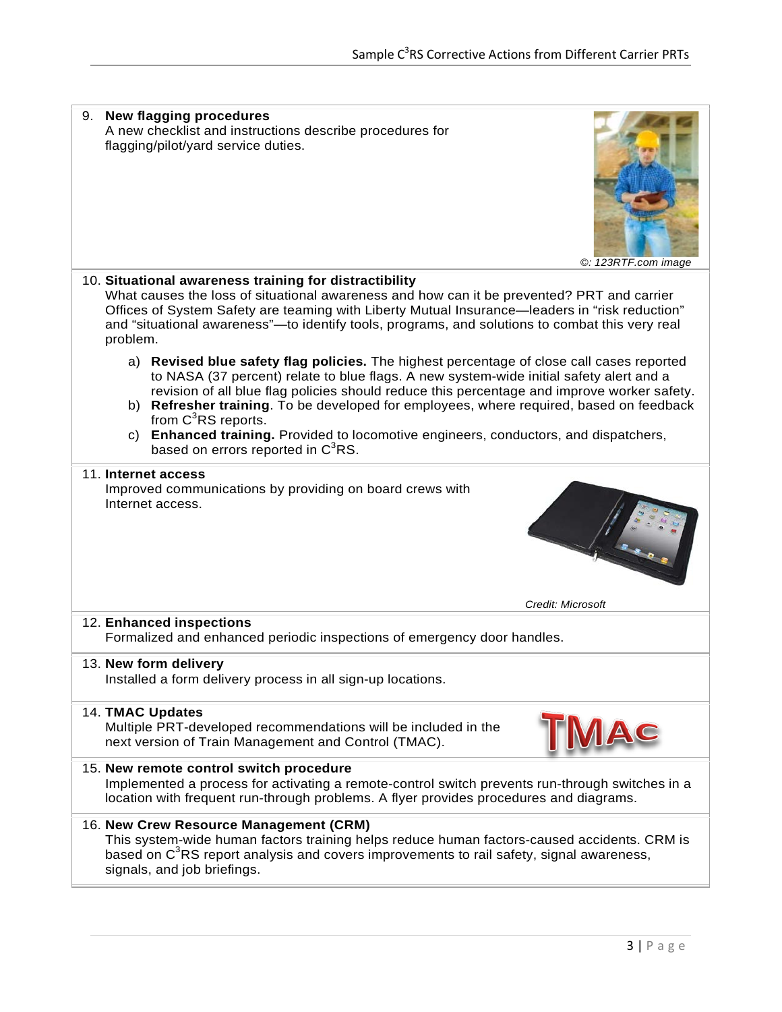| 9. New flagging procedures<br>A new checklist and instructions describe procedures for<br>flagging/pilot/yard service duties.<br>©: 123RTF.com image                                                                                                                                                                                                                                                                                                                                                                                                           |
|----------------------------------------------------------------------------------------------------------------------------------------------------------------------------------------------------------------------------------------------------------------------------------------------------------------------------------------------------------------------------------------------------------------------------------------------------------------------------------------------------------------------------------------------------------------|
| 10. Situational awareness training for distractibility<br>What causes the loss of situational awareness and how can it be prevented? PRT and carrier<br>Offices of System Safety are teaming with Liberty Mutual Insurance-leaders in "risk reduction"<br>and "situational awareness"—to identify tools, programs, and solutions to combat this very real<br>problem.                                                                                                                                                                                          |
| a) Revised blue safety flag policies. The highest percentage of close call cases reported<br>to NASA (37 percent) relate to blue flags. A new system-wide initial safety alert and a<br>revision of all blue flag policies should reduce this percentage and improve worker safety.<br>b) Refresher training. To be developed for employees, where required, based on feedback<br>from C <sup>3</sup> RS reports.<br>Enhanced training. Provided to locomotive engineers, conductors, and dispatchers,<br>C)<br>based on errors reported in C <sup>3</sup> RS. |
| 11. Internet access<br>Improved communications by providing on board crews with<br>Internet access.                                                                                                                                                                                                                                                                                                                                                                                                                                                            |
| Credit: Microsoft                                                                                                                                                                                                                                                                                                                                                                                                                                                                                                                                              |
| 12. Enhanced inspections<br>Formalized and enhanced periodic inspections of emergency door handles.                                                                                                                                                                                                                                                                                                                                                                                                                                                            |
| 13. New form delivery<br>Installed a form delivery process in all sign-up locations.                                                                                                                                                                                                                                                                                                                                                                                                                                                                           |
| <b>14. TMAC Updates</b><br>Multiple PRT-developed recommendations will be included in the<br>AC<br>next version of Train Management and Control (TMAC).                                                                                                                                                                                                                                                                                                                                                                                                        |
| 15. New remote control switch procedure<br>Implemented a process for activating a remote-control switch prevents run-through switches in a<br>location with frequent run-through problems. A flyer provides procedures and diagrams.                                                                                                                                                                                                                                                                                                                           |
| 16. New Crew Resource Management (CRM)<br>This system-wide human factors training helps reduce human factors-caused accidents. CRM is<br>based on C <sup>3</sup> RS report analysis and covers improvements to rail safety, signal awareness,<br>signals, and job briefings.                                                                                                                                                                                                                                                                                   |